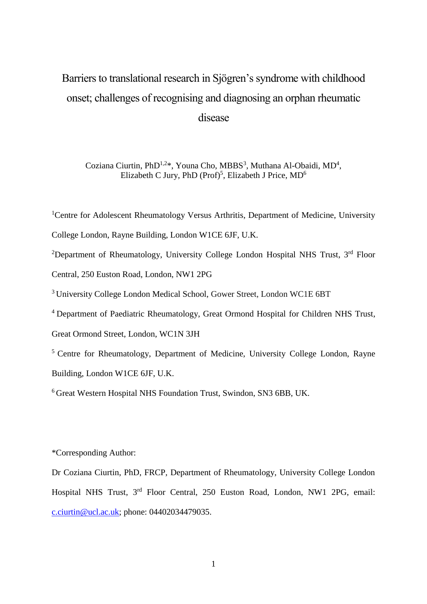# Barriers to translational research in Sjӧgren's syndrome with childhood onset; challenges of recognising and diagnosing an orphan rheumatic disease

Coziana Ciurtin, PhD<sup>1,2\*</sup>, Youna Cho, MBBS<sup>3</sup>, Muthana Al-Obaidi, MD<sup>4</sup>, Elizabeth C Jury, PhD (Prof)<sup>5</sup>, Elizabeth J Price, MD<sup>6</sup>

<sup>1</sup>Centre for Adolescent Rheumatology Versus Arthritis, Department of Medicine, University

College London, Rayne Building, London W1CE 6JF, U.K.

<sup>2</sup>Department of Rheumatology, University College London Hospital NHS Trust, 3<sup>rd</sup> Floor Central, 250 Euston Road, London, NW1 2PG

<sup>3</sup>University College London Medical School, Gower Street, London WC1E 6BT

<sup>4</sup> Department of Paediatric Rheumatology, Great Ormond Hospital for Children NHS Trust,

Great Ormond Street, London, WC1N 3JH

<sup>5</sup> Centre for Rheumatology, Department of Medicine, University College London, Rayne Building, London W1CE 6JF, U.K.

<sup>6</sup> Great Western Hospital NHS Foundation Trust, Swindon, SN3 6BB, UK.

\*Corresponding Author:

Dr Coziana Ciurtin, PhD, FRCP, Department of Rheumatology, University College London Hospital NHS Trust, 3rd Floor Central, 250 Euston Road, London, NW1 2PG, email: [c.ciurtin@ucl.ac.uk;](mailto:c.ciurtin@ucl.ac.uk) phone: 04402034479035.

1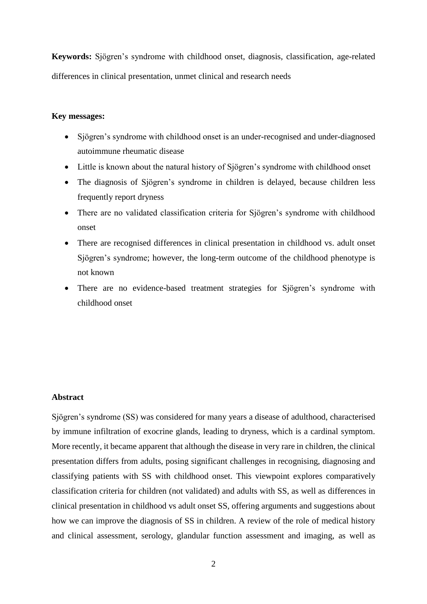**Keywords:** Sjӧgren's syndrome with childhood onset, diagnosis, classification, age-related differences in clinical presentation, unmet clinical and research needs

#### **Key messages:**

- Sjӧgren's syndrome with childhood onset is an under-recognised and under-diagnosed autoimmune rheumatic disease
- Little is known about the natural history of Sjögren's syndrome with childhood onset
- The diagnosis of Sjögren's syndrome in children is delayed, because children less frequently report dryness
- There are no validated classification criteria for Sjögren's syndrome with childhood onset
- There are recognised differences in clinical presentation in childhood vs. adult onset Sjögren's syndrome; however, the long-term outcome of the childhood phenotype is not known
- There are no evidence-based treatment strategies for Sjӧgren's syndrome with childhood onset

#### **Abstract**

Sjögren's syndrome (SS) was considered for many years a disease of adulthood, characterised by immune infiltration of exocrine glands, leading to dryness, which is a cardinal symptom. More recently, it became apparent that although the disease in very rare in children, the clinical presentation differs from adults, posing significant challenges in recognising, diagnosing and classifying patients with SS with childhood onset. This viewpoint explores comparatively classification criteria for children (not validated) and adults with SS, as well as differences in clinical presentation in childhood vs adult onset SS, offering arguments and suggestions about how we can improve the diagnosis of SS in children. A review of the role of medical history and clinical assessment, serology, glandular function assessment and imaging, as well as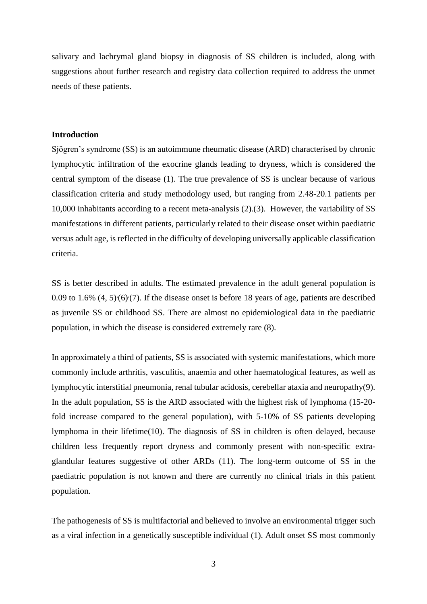salivary and lachrymal gland biopsy in diagnosis of SS children is included, along with suggestions about further research and registry data collection required to address the unmet needs of these patients.

#### **Introduction**

Sjӧgren's syndrome (SS) is an autoimmune rheumatic disease (ARD) characterised by chronic lymphocytic infiltration of the exocrine glands leading to dryness, which is considered the central symptom of the disease (1). The true prevalence of SS is unclear because of various classification criteria and study methodology used, but ranging from 2.48-20.1 patients per 10,000 inhabitants according to a recent meta-analysis (2).(3). However, the variability of SS manifestations in different patients, particularly related to their disease onset within paediatric versus adult age, is reflected in the difficulty of developing universally applicable classification criteria.

SS is better described in adults. The estimated prevalence in the adult general population is  $0.09$  to  $1.6\%$   $(4, 5)(6)(7)$ . If the disease onset is before 18 years of age, patients are described as juvenile SS or childhood SS. There are almost no epidemiological data in the paediatric population, in which the disease is considered extremely rare (8).

In approximately a third of patients, SS is associated with systemic manifestations, which more commonly include arthritis, vasculitis, anaemia and other haematological features, as well as lymphocytic interstitial pneumonia, renal tubular acidosis, cerebellar ataxia and neuropathy(9). In the adult population, SS is the ARD associated with the highest risk of lymphoma (15-20 fold increase compared to the general population), with 5-10% of SS patients developing lymphoma in their lifetime(10). The diagnosis of SS in children is often delayed, because children less frequently report dryness and commonly present with non-specific extraglandular features suggestive of other ARDs (11). The long-term outcome of SS in the paediatric population is not known and there are currently no clinical trials in this patient population.

The pathogenesis of SS is multifactorial and believed to involve an environmental trigger such as a viral infection in a genetically susceptible individual (1). Adult onset SS most commonly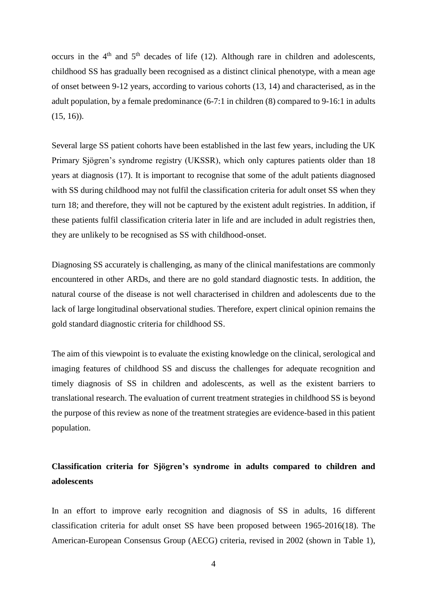occurs in the  $4<sup>th</sup>$  and  $5<sup>th</sup>$  decades of life (12). Although rare in children and adolescents, childhood SS has gradually been recognised as a distinct clinical phenotype, with a mean age of onset between 9-12 years, according to various cohorts (13, 14) and characterised, as in the adult population, by a female predominance (6-7:1 in children (8) compared to 9-16:1 in adults  $(15, 16)$ ).

Several large SS patient cohorts have been established in the last few years, including the UK Primary Sjögren's syndrome registry (UKSSR), which only captures patients older than 18 years at diagnosis (17). It is important to recognise that some of the adult patients diagnosed with SS during childhood may not fulfil the classification criteria for adult onset SS when they turn 18; and therefore, they will not be captured by the existent adult registries. In addition, if these patients fulfil classification criteria later in life and are included in adult registries then, they are unlikely to be recognised as SS with childhood-onset.

Diagnosing SS accurately is challenging, as many of the clinical manifestations are commonly encountered in other ARDs, and there are no gold standard diagnostic tests. In addition, the natural course of the disease is not well characterised in children and adolescents due to the lack of large longitudinal observational studies. Therefore, expert clinical opinion remains the gold standard diagnostic criteria for childhood SS.

The aim of this viewpoint is to evaluate the existing knowledge on the clinical, serological and imaging features of childhood SS and discuss the challenges for adequate recognition and timely diagnosis of SS in children and adolescents, as well as the existent barriers to translational research. The evaluation of current treatment strategies in childhood SS is beyond the purpose of this review as none of the treatment strategies are evidence-based in this patient population.

# **Classification criteria for Sjӧgren's syndrome in adults compared to children and adolescents**

In an effort to improve early recognition and diagnosis of SS in adults, 16 different classification criteria for adult onset SS have been proposed between 1965-2016(18). The American-European Consensus Group (AECG) criteria, revised in 2002 (shown in Table 1),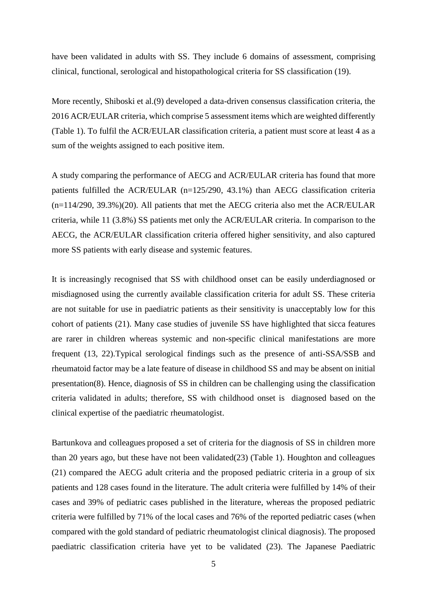have been validated in adults with SS. They include 6 domains of assessment, comprising clinical, functional, serological and histopathological criteria for SS classification (19).

More recently, Shiboski et al.(9) developed a data-driven consensus classification criteria, the 2016 ACR/EULAR criteria, which comprise 5 assessment items which are weighted differently (Table 1). To fulfil the ACR/EULAR classification criteria, a patient must score at least 4 as a sum of the weights assigned to each positive item.

A study comparing the performance of AECG and ACR/EULAR criteria has found that more patients fulfilled the ACR/EULAR (n=125/290, 43.1%) than AECG classification criteria (n=114/290, 39.3%)(20). All patients that met the AECG criteria also met the ACR/EULAR criteria, while 11 (3.8%) SS patients met only the ACR/EULAR criteria. In comparison to the AECG, the ACR/EULAR classification criteria offered higher sensitivity, and also captured more SS patients with early disease and systemic features.

It is increasingly recognised that SS with childhood onset can be easily underdiagnosed or misdiagnosed using the currently available classification criteria for adult SS. These criteria are not suitable for use in paediatric patients as their sensitivity is unacceptably low for this cohort of patients (21). Many case studies of juvenile SS have highlighted that sicca features are rarer in children whereas systemic and non-specific clinical manifestations are more frequent (13, 22).Typical serological findings such as the presence of anti-SSA/SSB and rheumatoid factor may be a late feature of disease in childhood SS and may be absent on initial presentation(8). Hence, diagnosis of SS in children can be challenging using the classification criteria validated in adults; therefore, SS with childhood onset is diagnosed based on the clinical expertise of the paediatric rheumatologist.

Bartunkova and colleagues proposed a set of criteria for the diagnosis of SS in children more than 20 years ago, but these have not been validated(23) (Table 1). Houghton and colleagues (21) compared the AECG adult criteria and the proposed pediatric criteria in a group of six patients and 128 cases found in the literature. The adult criteria were fulfilled by 14% of their cases and 39% of pediatric cases published in the literature, whereas the proposed pediatric criteria were fulfilled by 71% of the local cases and 76% of the reported pediatric cases (when compared with the gold standard of pediatric rheumatologist clinical diagnosis). The proposed paediatric classification criteria have yet to be validated (23). The Japanese Paediatric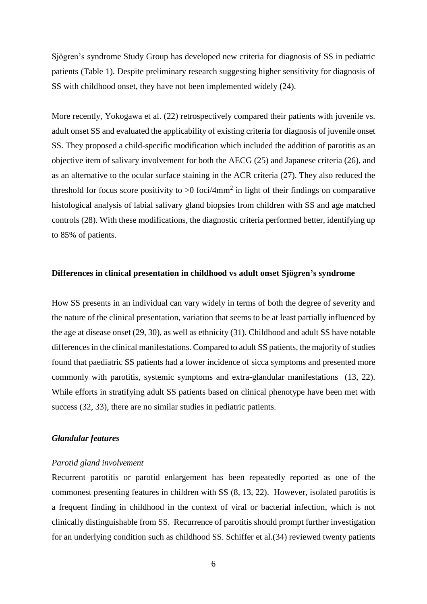Sjögren's syndrome Study Group has developed new criteria for diagnosis of SS in pediatric patients (Table 1). Despite preliminary research suggesting higher sensitivity for diagnosis of SS with childhood onset, they have not been implemented widely (24).

More recently, Yokogawa et al. (22) retrospectively compared their patients with juvenile vs. adult onset SS and evaluated the applicability of existing criteria for diagnosis of juvenile onset SS. They proposed a child-specific modification which included the addition of parotitis as an objective item of salivary involvement for both the AECG (25) and Japanese criteria (26), and as an alternative to the ocular surface staining in the ACR criteria (27). They also reduced the threshold for focus score positivity to  $>0$  foci/4mm<sup>2</sup> in light of their findings on comparative histological analysis of labial salivary gland biopsies from children with SS and age matched controls (28). With these modifications, the diagnostic criteria performed better, identifying up to 85% of patients.

#### **Differences in clinical presentation in childhood vs adult onset Sjögren's syndrome**

How SS presents in an individual can vary widely in terms of both the degree of severity and the nature of the clinical presentation, variation that seems to be at least partially influenced by the age at disease onset (29, 30), as well as ethnicity (31). Childhood and adult SS have notable differences in the clinical manifestations. Compared to adult SS patients, the majority of studies found that paediatric SS patients had a lower incidence of sicca symptoms and presented more commonly with parotitis, systemic symptoms and extra-glandular manifestations (13, 22). While efforts in stratifying adult SS patients based on clinical phenotype have been met with success (32, 33), there are no similar studies in pediatric patients.

### *Glandular features*

#### *Parotid gland involvement*

Recurrent parotitis or parotid enlargement has been repeatedly reported as one of the commonest presenting features in children with SS (8, 13, 22). However, isolated parotitis is a frequent finding in childhood in the context of viral or bacterial infection, which is not clinically distinguishable from SS. Recurrence of parotitis should prompt further investigation for an underlying condition such as childhood SS. Schiffer et al.(34) reviewed twenty patients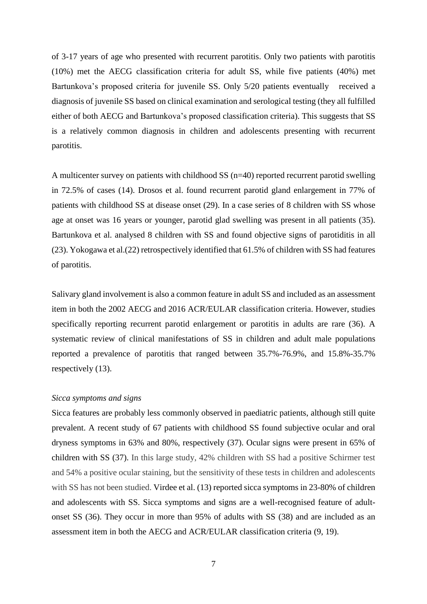of 3-17 years of age who presented with recurrent parotitis. Only two patients with parotitis (10%) met the AECG classification criteria for adult SS, while five patients (40%) met Bartunkova's proposed criteria for juvenile SS. Only 5/20 patients eventually received a diagnosis of juvenile SS based on clinical examination and serological testing (they all fulfilled either of both AECG and Bartunkova's proposed classification criteria). This suggests that SS is a relatively common diagnosis in children and adolescents presenting with recurrent parotitis.

A multicenter survey on patients with childhood SS (n=40) reported recurrent parotid swelling in 72.5% of cases (14). Drosos et al. found recurrent parotid gland enlargement in 77% of patients with childhood SS at disease onset (29). In a case series of 8 children with SS whose age at onset was 16 years or younger, parotid glad swelling was present in all patients (35). Bartunkova et al. analysed 8 children with SS and found objective signs of parotiditis in all (23). Yokogawa et al.(22) retrospectively identified that 61.5% of children with SS had features of parotitis.

Salivary gland involvement is also a common feature in adult SS and included as an assessment item in both the 2002 AECG and 2016 ACR/EULAR classification criteria. However, studies specifically reporting recurrent parotid enlargement or parotitis in adults are rare (36). A systematic review of clinical manifestations of SS in children and adult male populations reported a prevalence of parotitis that ranged between 35.7%-76.9%, and 15.8%-35.7% respectively (13).

#### *Sicca symptoms and signs*

Sicca features are probably less commonly observed in paediatric patients, although still quite prevalent. A recent study of 67 patients with childhood SS found subjective ocular and oral dryness symptoms in 63% and 80%, respectively (37). Ocular signs were present in 65% of children with SS (37). In this large study, 42% children with SS had a positive Schirmer test and 54% a positive ocular staining, but the sensitivity of these tests in children and adolescents with SS has not been studied. Virdee et al. (13) reported sicca symptoms in 23-80% of children and adolescents with SS. Sicca symptoms and signs are a well-recognised feature of adultonset SS (36). They occur in more than 95% of adults with SS (38) and are included as an assessment item in both the AECG and ACR/EULAR classification criteria (9, 19).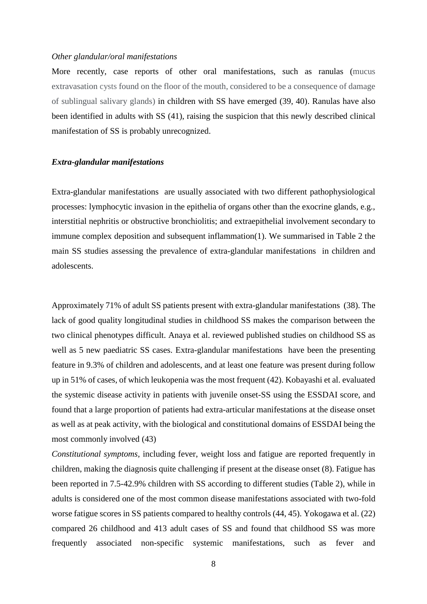#### *Other glandular/oral manifestations*

More recently, case reports of other oral manifestations, such as ranulas (mucus extravasation cysts found on the floor of the mouth, considered to be a consequence of damage of sublingual salivary glands) in children with SS have emerged (39, 40). Ranulas have also been identified in adults with SS (41), raising the suspicion that this newly described clinical manifestation of SS is probably unrecognized.

#### *Extra-glandular manifestations*

Extra-glandular manifestations are usually associated with two different pathophysiological processes: lymphocytic invasion in the epithelia of organs other than the exocrine glands, e.g., interstitial nephritis or obstructive bronchiolitis; and extraepithelial involvement secondary to immune complex deposition and subsequent inflammation(1). We summarised in Table 2 the main SS studies assessing the prevalence of extra-glandular manifestations in children and adolescents.

Approximately 71% of adult SS patients present with extra-glandular manifestations (38). The lack of good quality longitudinal studies in childhood SS makes the comparison between the two clinical phenotypes difficult. Anaya et al. reviewed published studies on childhood SS as well as 5 new paediatric SS cases. Extra-glandular manifestations have been the presenting feature in 9.3% of children and adolescents, and at least one feature was present during follow up in 51% of cases, of which leukopenia was the most frequent (42). Kobayashi et al. evaluated the systemic disease activity in patients with juvenile onset-SS using the ESSDAI score, and found that a large proportion of patients had extra-articular manifestations at the disease onset as well as at peak activity, with the biological and constitutional domains of ESSDAI being the most commonly involved (43)

*Constitutional symptoms,* including fever, weight loss and fatigue are reported frequently in children, making the diagnosis quite challenging if present at the disease onset (8). Fatigue has been reported in 7.5-42.9% children with SS according to different studies (Table 2), while in adults is considered one of the most common disease manifestations associated with two-fold worse fatigue scores in SS patients compared to healthy controls (44, 45). Yokogawa et al. (22) compared 26 childhood and 413 adult cases of SS and found that childhood SS was more frequently associated non-specific systemic manifestations, such as fever and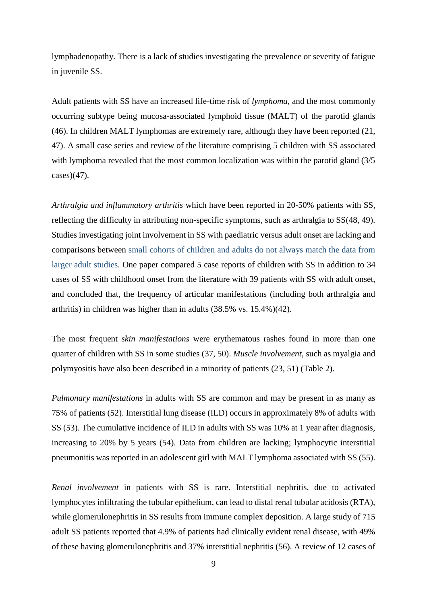lymphadenopathy. There is a lack of studies investigating the prevalence or severity of fatigue in juvenile SS.

Adult patients with SS have an increased life-time risk of *lymphoma*, and the most commonly occurring subtype being mucosa-associated lymphoid tissue (MALT) of the parotid glands (46). In children MALT lymphomas are extremely rare, although they have been reported (21, 47). A small case series and review of the literature comprising 5 children with SS associated with lymphoma revealed that the most common localization was within the parotid gland (3/5  $cases)$ (47).

*Arthralgia and inflammatory arthritis* which have been reported in 20-50% patients with SS, reflecting the difficulty in attributing non-specific symptoms, such as arthralgia to SS(48, 49). Studies investigating joint involvement in SS with paediatric versus adult onset are lacking and comparisons between small cohorts of children and adults do not always match the data from larger adult studies. One paper compared 5 case reports of children with SS in addition to 34 cases of SS with childhood onset from the literature with 39 patients with SS with adult onset, and concluded that, the frequency of articular manifestations (including both arthralgia and arthritis) in children was higher than in adults (38.5% vs. 15.4%)(42).

The most frequent *skin manifestations* were erythematous rashes found in more than one quarter of children with SS in some studies (37, 50). *Muscle involvement*, such as myalgia and polymyositis have also been described in a minority of patients (23, 51) (Table 2).

*Pulmonary manifestations* in adults with SS are common and may be present in as many as 75% of patients (52). Interstitial lung disease (ILD) occurs in approximately 8% of adults with SS (53). The cumulative incidence of ILD in adults with SS was 10% at 1 year after diagnosis, increasing to 20% by 5 years (54). Data from children are lacking; lymphocytic interstitial pneumonitis was reported in an adolescent girl with MALT lymphoma associated with SS (55).

*Renal involvement* in patients with SS is rare. Interstitial nephritis, due to activated lymphocytes infiltrating the tubular epithelium, can lead to distal renal tubular acidosis (RTA), while glomerulonephritis in SS results from immune complex deposition. A large study of 715 adult SS patients reported that 4.9% of patients had clinically evident renal disease, with 49% of these having glomerulonephritis and 37% interstitial nephritis (56). A review of 12 cases of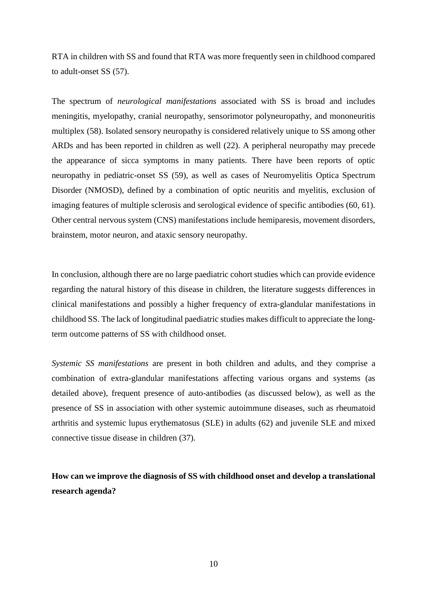RTA in children with SS and found that RTA was more frequently seen in childhood compared to adult-onset SS (57).

The spectrum of *neurological manifestations* associated with SS is broad and includes meningitis, myelopathy, cranial neuropathy, sensorimotor polyneuropathy, and mononeuritis multiplex (58). Isolated sensory neuropathy is considered relatively unique to SS among other ARDs and has been reported in children as well (22). A peripheral neuropathy may precede the appearance of sicca symptoms in many patients. There have been reports of optic neuropathy in pediatric-onset SS (59), as well as cases of Neuromyelitis Optica Spectrum Disorder (NMOSD), defined by a combination of optic neuritis and myelitis, exclusion of imaging features of multiple sclerosis and serological evidence of specific antibodies (60, 61). Other central nervous system (CNS) manifestations include hemiparesis, movement disorders, brainstem, motor neuron, and ataxic sensory neuropathy.

In conclusion, although there are no large paediatric cohort studies which can provide evidence regarding the natural history of this disease in children, the literature suggests differences in clinical manifestations and possibly a higher frequency of extra-glandular manifestations in childhood SS. The lack of longitudinal paediatric studies makes difficult to appreciate the longterm outcome patterns of SS with childhood onset.

*Systemic SS manifestations* are present in both children and adults, and they comprise a combination of extra-glandular manifestations affecting various organs and systems (as detailed above), frequent presence of auto-antibodies (as discussed below), as well as the presence of SS in association with other systemic autoimmune diseases, such as rheumatoid arthritis and systemic lupus erythematosus (SLE) in adults (62) and juvenile SLE and mixed connective tissue disease in children (37).

**How can we improve the diagnosis of SS with childhood onset and develop a translational research agenda?**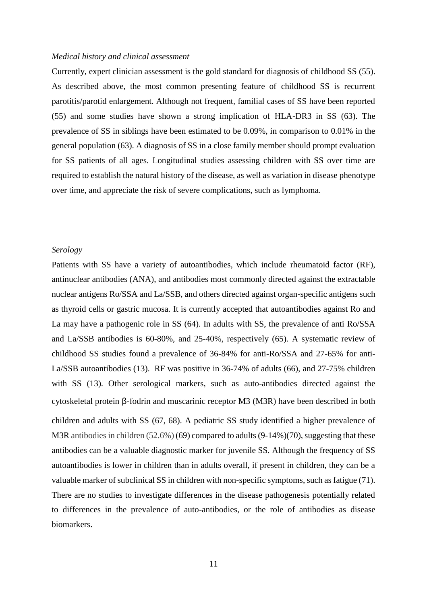#### *Medical history and clinical assessment*

Currently, expert clinician assessment is the gold standard for diagnosis of childhood SS (55). As described above, the most common presenting feature of childhood SS is recurrent parotitis/parotid enlargement. Although not frequent, familial cases of SS have been reported (55) and some studies have shown a strong implication of HLA-DR3 in SS (63). The prevalence of SS in siblings have been estimated to be 0.09%, in comparison to 0.01% in the general population (63). A diagnosis of SS in a close family member should prompt evaluation for SS patients of all ages. Longitudinal studies assessing children with SS over time are required to establish the natural history of the disease, as well as variation in disease phenotype over time, and appreciate the risk of severe complications, such as lymphoma.

#### *Serology*

Patients with SS have a variety of autoantibodies, which include rheumatoid factor (RF), antinuclear antibodies (ANA), and antibodies most commonly directed against the extractable nuclear antigens Ro/SSA and La/SSB, and others directed against organ-specific antigens such as thyroid cells or gastric mucosa. It is currently accepted that autoantibodies against Ro and La may have a pathogenic role in SS (64). In adults with SS, the prevalence of anti Ro/SSA and La/SSB antibodies is 60-80%, and 25-40%, respectively (65). A systematic review of childhood SS studies found a prevalence of 36-84% for anti-Ro/SSA and 27-65% for anti-La/SSB autoantibodies (13). RF was positive in 36-74% of adults (66), and 27-75% children with SS (13). Other serological markers, such as auto-antibodies directed against the cytoskeletal protein β-fodrin and muscarinic receptor M3 (M3R) have been described in both children and adults with SS (67, 68). A pediatric SS study identified a higher prevalence of M3R antibodies in children (52.6%) (69) compared to adults (9-14%) (70), suggesting that these antibodies can be a valuable diagnostic marker for juvenile SS. Although the frequency of SS autoantibodies is lower in children than in adults overall, if present in children, they can be a valuable marker of subclinical SS in children with non-specific symptoms, such as fatigue (71). There are no studies to investigate differences in the disease pathogenesis potentially related to differences in the prevalence of auto-antibodies, or the role of antibodies as disease biomarkers.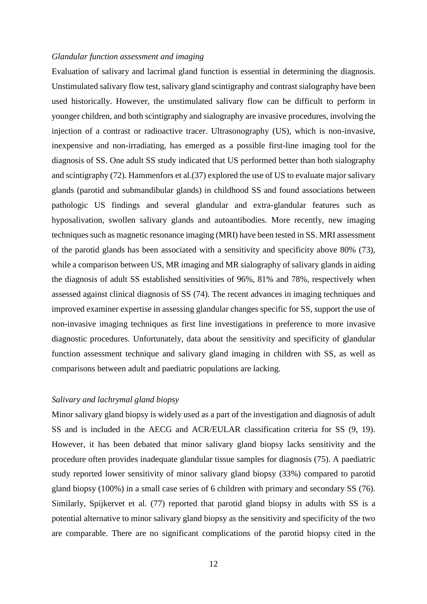#### *Glandular function assessment and imaging*

Evaluation of salivary and lacrimal gland function is essential in determining the diagnosis. Unstimulated salivary flow test, salivary gland scintigraphy and contrast sialography have been used historically. However, the unstimulated salivary flow can be difficult to perform in younger children, and both scintigraphy and sialography are invasive procedures, involving the injection of a contrast or radioactive tracer. Ultrasonography (US), which is non-invasive, inexpensive and non-irradiating, has emerged as a possible first-line imaging tool for the diagnosis of SS. One adult SS study indicated that US performed better than both sialography and scintigraphy (72). Hammenfors et al.(37) explored the use of US to evaluate major salivary glands (parotid and submandibular glands) in childhood SS and found associations between pathologic US findings and several glandular and extra-glandular features such as hyposalivation, swollen salivary glands and autoantibodies. More recently, new imaging techniques such as magnetic resonance imaging (MRI) have been tested in SS. MRI assessment of the parotid glands has been associated with a sensitivity and specificity above 80% (73), while a comparison between US, MR imaging and MR sialography of salivary glands in aiding the diagnosis of adult SS established sensitivities of 96%, 81% and 78%, respectively when assessed against clinical diagnosis of SS (74). The recent advances in imaging techniques and improved examiner expertise in assessing glandular changes specific for SS, support the use of non-invasive imaging techniques as first line investigations in preference to more invasive diagnostic procedures. Unfortunately, data about the sensitivity and specificity of glandular function assessment technique and salivary gland imaging in children with SS, as well as comparisons between adult and paediatric populations are lacking.

#### *Salivary and lachrymal gland biopsy*

Minor salivary gland biopsy is widely used as a part of the investigation and diagnosis of adult SS and is included in the AECG and ACR/EULAR classification criteria for SS (9, 19). However, it has been debated that minor salivary gland biopsy lacks sensitivity and the procedure often provides inadequate glandular tissue samples for diagnosis (75). A paediatric study reported lower sensitivity of minor salivary gland biopsy (33%) compared to parotid gland biopsy (100%) in a small case series of 6 children with primary and secondary SS (76). Similarly, Spijkervet et al. (77) reported that parotid gland biopsy in adults with SS is a potential alternative to minor salivary gland biopsy as the sensitivity and specificity of the two are comparable. There are no significant complications of the parotid biopsy cited in the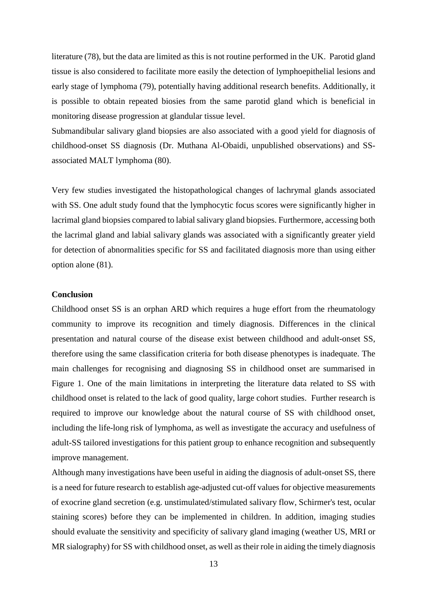literature (78), but the data are limited as this is not routine performed in the UK. Parotid gland tissue is also considered to facilitate more easily the detection of lymphoepithelial lesions and early stage of lymphoma (79), potentially having additional research benefits. Additionally, it is possible to obtain repeated biosies from the same parotid gland which is beneficial in monitoring disease progression at glandular tissue level.

Submandibular salivary gland biopsies are also associated with a good yield for diagnosis of childhood-onset SS diagnosis (Dr. Muthana Al-Obaidi, unpublished observations) and SSassociated MALT lymphoma (80).

Very few studies investigated the histopathological changes of lachrymal glands associated with SS. One adult study found that the lymphocytic focus scores were significantly higher in lacrimal gland biopsies compared to labial salivary gland biopsies. Furthermore, accessing both the lacrimal gland and labial salivary glands was associated with a significantly greater yield for detection of abnormalities specific for SS and facilitated diagnosis more than using either option alone (81).

## **Conclusion**

Childhood onset SS is an orphan ARD which requires a huge effort from the rheumatology community to improve its recognition and timely diagnosis. Differences in the clinical presentation and natural course of the disease exist between childhood and adult-onset SS, therefore using the same classification criteria for both disease phenotypes is inadequate. The main challenges for recognising and diagnosing SS in childhood onset are summarised in Figure 1. One of the main limitations in interpreting the literature data related to SS with childhood onset is related to the lack of good quality, large cohort studies. Further research is required to improve our knowledge about the natural course of SS with childhood onset, including the life-long risk of lymphoma, as well as investigate the accuracy and usefulness of adult-SS tailored investigations for this patient group to enhance recognition and subsequently improve management.

Although many investigations have been useful in aiding the diagnosis of adult-onset SS, there is a need for future research to establish age-adjusted cut-off values for objective measurements of exocrine gland secretion (e.g. unstimulated/stimulated salivary flow, Schirmer's test, ocular staining scores) before they can be implemented in children. In addition, imaging studies should evaluate the sensitivity and specificity of salivary gland imaging (weather US, MRI or MR sialography) for SS with childhood onset, as well as their role in aiding the timely diagnosis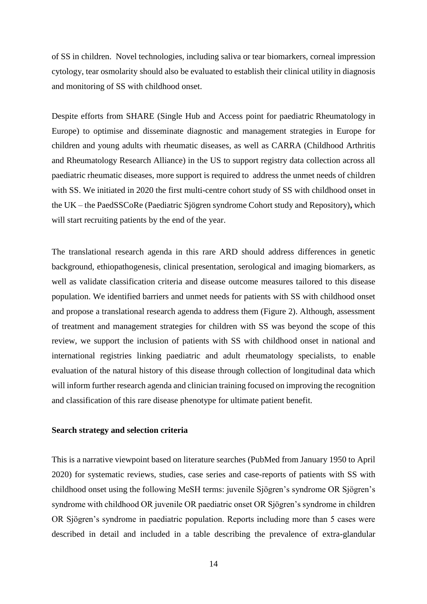of SS in children. Novel technologies, including saliva or tear biomarkers, corneal impression cytology, tear osmolarity should also be evaluated to establish their clinical utility in diagnosis and monitoring of SS with childhood onset.

Despite efforts from SHARE (Single Hub and Access point for paediatric Rheumatology in Europe) to optimise and disseminate diagnostic and management strategies in Europe for children and young adults with rheumatic diseases, as well as CARRA [\(Childhood Arthritis](https://carragroup.org/)  [and Rheumatology Research Alliance\)](https://carragroup.org/) in the US to support registry data collection across all paediatric rheumatic diseases, more support is required to address the unmet needs of children with SS. We initiated in 2020 the first multi-centre cohort study of SS with childhood onset in the UK – the PaedSSCoRe (Paediatric Sjögren syndrome Cohort study and Repository)**,** which will start recruiting patients by the end of the year.

The translational research agenda in this rare ARD should address differences in genetic background, ethiopathogenesis, clinical presentation, serological and imaging biomarkers, as well as validate classification criteria and disease outcome measures tailored to this disease population. We identified barriers and unmet needs for patients with SS with childhood onset and propose a translational research agenda to address them (Figure 2). Although, assessment of treatment and management strategies for children with SS was beyond the scope of this review, we support the inclusion of patients with SS with childhood onset in national and international registries linking paediatric and adult rheumatology specialists, to enable evaluation of the natural history of this disease through collection of longitudinal data which will inform further research agenda and clinician training focused on improving the recognition and classification of this rare disease phenotype for ultimate patient benefit.

#### **Search strategy and selection criteria**

This is a narrative viewpoint based on literature searches (PubMed from January 1950 to April 2020) for systematic reviews, studies, case series and case-reports of patients with SS with childhood onset using the following MeSH terms: juvenile Sjӧgren's syndrome OR Sjӧgren's syndrome with childhood OR juvenile OR paediatric onset OR Sjögren's syndrome in children OR Sjӧgren's syndrome in paediatric population. Reports including more than 5 cases were described in detail and included in a table describing the prevalence of extra-glandular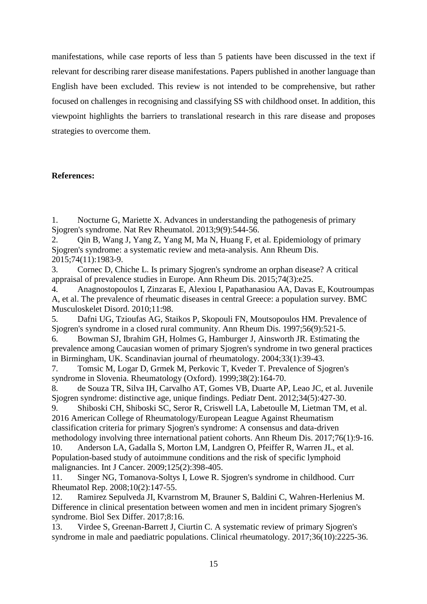manifestations, while case reports of less than 5 patients have been discussed in the text if relevant for describing rarer disease manifestations. Papers published in another language than English have been excluded. This review is not intended to be comprehensive, but rather focused on challenges in recognising and classifying SS with childhood onset. In addition, this viewpoint highlights the barriers to translational research in this rare disease and proposes strategies to overcome them.

# **References:**

1. Nocturne G, Mariette X. Advances in understanding the pathogenesis of primary Sjogren's syndrome. Nat Rev Rheumatol. 2013;9(9):544-56.

2. Qin B, Wang J, Yang Z, Yang M, Ma N, Huang F, et al. Epidemiology of primary Sjogren's syndrome: a systematic review and meta-analysis. Ann Rheum Dis. 2015;74(11):1983-9.

3. Cornec D, Chiche L. Is primary Sjogren's syndrome an orphan disease? A critical appraisal of prevalence studies in Europe. Ann Rheum Dis. 2015;74(3):e25.

4. Anagnostopoulos I, Zinzaras E, Alexiou I, Papathanasiou AA, Davas E, Koutroumpas A, et al. The prevalence of rheumatic diseases in central Greece: a population survey. BMC Musculoskelet Disord. 2010;11:98.

5. Dafni UG, Tzioufas AG, Staikos P, Skopouli FN, Moutsopoulos HM. Prevalence of Sjogren's syndrome in a closed rural community. Ann Rheum Dis. 1997;56(9):521-5.

6. Bowman SJ, Ibrahim GH, Holmes G, Hamburger J, Ainsworth JR. Estimating the prevalence among Caucasian women of primary Sjogren's syndrome in two general practices in Birmingham, UK. Scandinavian journal of rheumatology. 2004;33(1):39-43.

7. Tomsic M, Logar D, Grmek M, Perkovic T, Kveder T. Prevalence of Sjogren's syndrome in Slovenia. Rheumatology (Oxford). 1999;38(2):164-70.

8. de Souza TR, Silva IH, Carvalho AT, Gomes VB, Duarte AP, Leao JC, et al. Juvenile Sjogren syndrome: distinctive age, unique findings. Pediatr Dent. 2012;34(5):427-30.

9. Shiboski CH, Shiboski SC, Seror R, Criswell LA, Labetoulle M, Lietman TM, et al. 2016 American College of Rheumatology/European League Against Rheumatism classification criteria for primary Sjogren's syndrome: A consensus and data-driven methodology involving three international patient cohorts. Ann Rheum Dis. 2017;76(1):9-16.

10. Anderson LA, Gadalla S, Morton LM, Landgren O, Pfeiffer R, Warren JL, et al. Population-based study of autoimmune conditions and the risk of specific lymphoid malignancies. Int J Cancer. 2009;125(2):398-405.

11. Singer NG, Tomanova-Soltys I, Lowe R. Sjogren's syndrome in childhood. Curr Rheumatol Rep. 2008;10(2):147-55.

12. Ramirez Sepulveda JI, Kvarnstrom M, Brauner S, Baldini C, Wahren-Herlenius M. Difference in clinical presentation between women and men in incident primary Sjogren's syndrome. Biol Sex Differ. 2017;8:16.

13. Virdee S, Greenan-Barrett J, Ciurtin C. A systematic review of primary Sjogren's syndrome in male and paediatric populations. Clinical rheumatology. 2017;36(10):2225-36.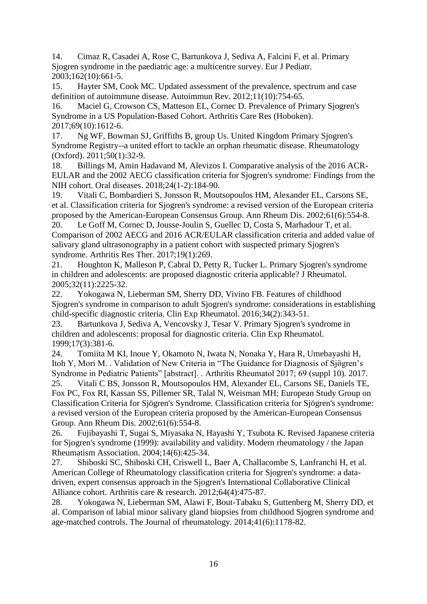14. Cimaz R, Casadei A, Rose C, Bartunkova J, Sediva A, Falcini F, et al. Primary Sjogren syndrome in the paediatric age: a multicentre survey. Eur J Pediatr. 2003;162(10):661-5.

15. Hayter SM, Cook MC. Updated assessment of the prevalence, spectrum and case definition of autoimmune disease. Autoimmun Rev. 2012;11(10):754-65.

16. Maciel G, Crowson CS, Matteson EL, Cornec D. Prevalence of Primary Sjogren's Syndrome in a US Population-Based Cohort. Arthritis Care Res (Hoboken). 2017;69(10):1612-6.

17. Ng WF, Bowman SJ, Griffiths B, group Us. United Kingdom Primary Sjogren's Syndrome Registry--a united effort to tackle an orphan rheumatic disease. Rheumatology (Oxford). 2011;50(1):32-9.

18. Billings M, Amin Hadavand M, Alevizos I. Comparative analysis of the 2016 ACR-EULAR and the 2002 AECG classification criteria for Sjogren's syndrome: Findings from the NIH cohort. Oral diseases. 2018;24(1-2):184-90.

19. Vitali C, Bombardieri S, Jonsson R, Moutsopoulos HM, Alexander EL, Carsons SE, et al. Classification criteria for Sjogren's syndrome: a revised version of the European criteria proposed by the American-European Consensus Group. Ann Rheum Dis. 2002;61(6):554-8.

20. Le Goff M, Cornec D, Jousse-Joulin S, Guellec D, Costa S, Marhadour T, et al. Comparison of 2002 AECG and 2016 ACR/EULAR classification criteria and added value of salivary gland ultrasonography in a patient cohort with suspected primary Sjogren's syndrome. Arthritis Res Ther. 2017;19(1):269.

21. Houghton K, Malleson P, Cabral D, Petty R, Tucker L. Primary Sjogren's syndrome in children and adolescents: are proposed diagnostic criteria applicable? J Rheumatol. 2005;32(11):2225-32.

22. Yokogawa N, Lieberman SM, Sherry DD, Vivino FB. Features of childhood Sjogren's syndrome in comparison to adult Sjogren's syndrome: considerations in establishing child-specific diagnostic criteria. Clin Exp Rheumatol. 2016;34(2):343-51.

23. Bartunkova J, Sediva A, Vencovsky J, Tesar V. Primary Sjogren's syndrome in children and adolescents: proposal for diagnostic criteria. Clin Exp Rheumatol. 1999;17(3):381-6.

24. Tomiita M KI, Inoue Y, Okamoto N, Iwata N, Nonaka Y, Hara R, Umebayashi H, Itoh Y, Mori M. . Validation of New Criteria in "The Guidance for Diagnosis of Sjögren's Syndrome in Pediatric Patients" [abstract]. . Arthritis Rheumatol 2017; 69 (suppl 10). 2017.

25. Vitali C BS, Jonsson R, Moutsopoulos HM, Alexander EL, Carsons SE, Daniels TE, Fox PC, Fox RI, Kassan SS, Pillemer SR, Talal N, Weisman MH; European Study Group on Classification Criteria for Sjögren's Syndrome. Classification criteria for Sjögren's syndrome: a revised version of the European criteria proposed by the American-European Consensus Group. Ann Rheum Dis. 2002;61(6):554-8.

26. Fujibayashi T, Sugai S, Miyasaka N, Hayashi Y, Tsubota K. Revised Japanese criteria for Sjogren's syndrome (1999): availability and validity. Modern rheumatology / the Japan Rheumatism Association. 2004;14(6):425-34.

27. Shiboski SC, Shiboski CH, Criswell L, Baer A, Challacombe S, Lanfranchi H, et al. American College of Rheumatology classification criteria for Sjogren's syndrome: a datadriven, expert consensus approach in the Sjogren's International Collaborative Clinical Alliance cohort. Arthritis care & research. 2012;64(4):475-87.

28. Yokogawa N, Lieberman SM, Alawi F, Bout-Tabaku S, Guttenberg M, Sherry DD, et al. Comparison of labial minor salivary gland biopsies from childhood Sjogren syndrome and age-matched controls. The Journal of rheumatology. 2014;41(6):1178-82.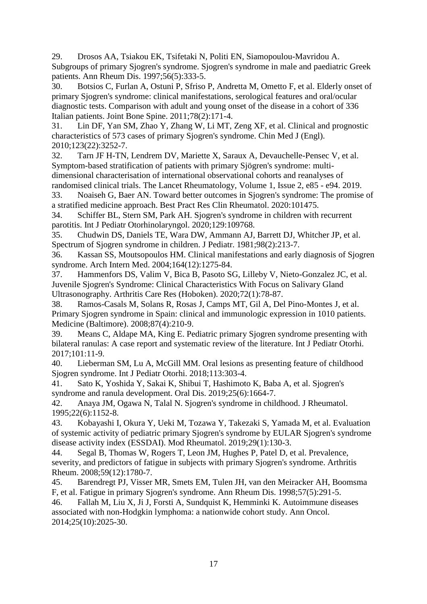29. Drosos AA, Tsiakou EK, Tsifetaki N, Politi EN, Siamopoulou-Mavridou A. Subgroups of primary Sjogren's syndrome. Sjogren's syndrome in male and paediatric Greek patients. Ann Rheum Dis. 1997;56(5):333-5.

30. Botsios C, Furlan A, Ostuni P, Sfriso P, Andretta M, Ometto F, et al. Elderly onset of primary Sjogren's syndrome: clinical manifestations, serological features and oral/ocular diagnostic tests. Comparison with adult and young onset of the disease in a cohort of 336 Italian patients. Joint Bone Spine. 2011;78(2):171-4.

31. Lin DF, Yan SM, Zhao Y, Zhang W, Li MT, Zeng XF, et al. Clinical and prognostic characteristics of 573 cases of primary Sjogren's syndrome. Chin Med J (Engl). 2010;123(22):3252-7.

32. Tarn JF H-TN, Lendrem DV, Mariette X, Saraux A, Devauchelle-Pensec V, et al. Symptom-based stratification of patients with primary Sjögren's syndrome: multidimensional characterisation of international observational cohorts and reanalyses of randomised clinical trials. The Lancet Rheumatology, Volume 1, Issue 2, e85 - e94. 2019.

33. Noaiseh G, Baer AN. Toward better outcomes in Sjogren's syndrome: The promise of a stratified medicine approach. Best Pract Res Clin Rheumatol. 2020:101475.

34. Schiffer BL, Stern SM, Park AH. Sjogren's syndrome in children with recurrent parotitis. Int J Pediatr Otorhinolaryngol. 2020;129:109768.

35. Chudwin DS, Daniels TE, Wara DW, Ammann AJ, Barrett DJ, Whitcher JP, et al. Spectrum of Sjogren syndrome in children. J Pediatr. 1981;98(2):213-7.

36. Kassan SS, Moutsopoulos HM. Clinical manifestations and early diagnosis of Sjogren syndrome. Arch Intern Med. 2004;164(12):1275-84.

37. Hammenfors DS, Valim V, Bica B, Pasoto SG, Lilleby V, Nieto-Gonzalez JC, et al. Juvenile Sjogren's Syndrome: Clinical Characteristics With Focus on Salivary Gland Ultrasonography. Arthritis Care Res (Hoboken). 2020;72(1):78-87.

38. Ramos-Casals M, Solans R, Rosas J, Camps MT, Gil A, Del Pino-Montes J, et al. Primary Sjogren syndrome in Spain: clinical and immunologic expression in 1010 patients. Medicine (Baltimore). 2008;87(4):210-9.

39. Means C, Aldape MA, King E. Pediatric primary Sjogren syndrome presenting with bilateral ranulas: A case report and systematic review of the literature. Int J Pediatr Otorhi. 2017;101:11-9.

40. Lieberman SM, Lu A, McGill MM. Oral lesions as presenting feature of childhood Sjogren syndrome. Int J Pediatr Otorhi. 2018;113:303-4.

41. Sato K, Yoshida Y, Sakai K, Shibui T, Hashimoto K, Baba A, et al. Sjogren's syndrome and ranula development. Oral Dis. 2019;25(6):1664-7.

42. Anaya JM, Ogawa N, Talal N. Sjogren's syndrome in childhood. J Rheumatol. 1995;22(6):1152-8.

43. Kobayashi I, Okura Y, Ueki M, Tozawa Y, Takezaki S, Yamada M, et al. Evaluation of systemic activity of pediatric primary Sjogren's syndrome by EULAR Sjogren's syndrome disease activity index (ESSDAI). Mod Rheumatol. 2019;29(1):130-3.

44. Segal B, Thomas W, Rogers T, Leon JM, Hughes P, Patel D, et al. Prevalence, severity, and predictors of fatigue in subjects with primary Sjogren's syndrome. Arthritis Rheum. 2008;59(12):1780-7.

45. Barendregt PJ, Visser MR, Smets EM, Tulen JH, van den Meiracker AH, Boomsma F, et al. Fatigue in primary Sjogren's syndrome. Ann Rheum Dis. 1998;57(5):291-5.

46. Fallah M, Liu X, Ji J, Forsti A, Sundquist K, Hemminki K. Autoimmune diseases associated with non-Hodgkin lymphoma: a nationwide cohort study. Ann Oncol. 2014;25(10):2025-30.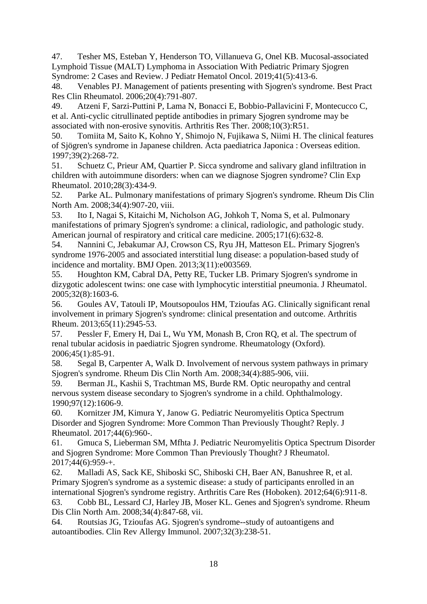47. Tesher MS, Esteban Y, Henderson TO, Villanueva G, Onel KB. Mucosal-associated Lymphoid Tissue (MALT) Lymphoma in Association With Pediatric Primary Sjogren Syndrome: 2 Cases and Review. J Pediatr Hematol Oncol. 2019;41(5):413-6.

48. Venables PJ. Management of patients presenting with Sjogren's syndrome. Best Pract Res Clin Rheumatol. 2006;20(4):791-807.

49. Atzeni F, Sarzi-Puttini P, Lama N, Bonacci E, Bobbio-Pallavicini F, Montecucco C, et al. Anti-cyclic citrullinated peptide antibodies in primary Sjogren syndrome may be associated with non-erosive synovitis. Arthritis Res Ther. 2008;10(3):R51.

50. Tomiita M, Saito K, Kohno Y, Shimojo N, Fujikawa S, Niimi H. The clinical features of Sjögren's syndrome in Japanese children. Acta paediatrica Japonica : Overseas edition. 1997;39(2):268-72.

51. Schuetz C, Prieur AM, Quartier P. Sicca syndrome and salivary gland infiltration in children with autoimmune disorders: when can we diagnose Sjogren syndrome? Clin Exp Rheumatol. 2010;28(3):434-9.

52. Parke AL. Pulmonary manifestations of primary Sjogren's syndrome. Rheum Dis Clin North Am. 2008;34(4):907-20, viii.

53. Ito I, Nagai S, Kitaichi M, Nicholson AG, Johkoh T, Noma S, et al. Pulmonary manifestations of primary Sjogren's syndrome: a clinical, radiologic, and pathologic study. American journal of respiratory and critical care medicine. 2005;171(6):632-8.

54. Nannini C, Jebakumar AJ, Crowson CS, Ryu JH, Matteson EL. Primary Sjogren's syndrome 1976-2005 and associated interstitial lung disease: a population-based study of incidence and mortality. BMJ Open. 2013;3(11):e003569.

55. Houghton KM, Cabral DA, Petty RE, Tucker LB. Primary Sjogren's syndrome in dizygotic adolescent twins: one case with lymphocytic interstitial pneumonia. J Rheumatol. 2005;32(8):1603-6.

56. Goules AV, Tatouli IP, Moutsopoulos HM, Tzioufas AG. Clinically significant renal involvement in primary Sjogren's syndrome: clinical presentation and outcome. Arthritis Rheum. 2013;65(11):2945-53.

57. Pessler F, Emery H, Dai L, Wu YM, Monash B, Cron RQ, et al. The spectrum of renal tubular acidosis in paediatric Sjogren syndrome. Rheumatology (Oxford). 2006;45(1):85-91.

58. Segal B, Carpenter A, Walk D. Involvement of nervous system pathways in primary Sjogren's syndrome. Rheum Dis Clin North Am. 2008;34(4):885-906, viii.

59. Berman JL, Kashii S, Trachtman MS, Burde RM. Optic neuropathy and central nervous system disease secondary to Sjogren's syndrome in a child. Ophthalmology. 1990;97(12):1606-9.

60. Kornitzer JM, Kimura Y, Janow G. Pediatric Neuromyelitis Optica Spectrum Disorder and Sjogren Syndrome: More Common Than Previously Thought? Reply. J Rheumatol. 2017;44(6):960-.

61. Gmuca S, Lieberman SM, Mfhta J. Pediatric Neuromyelitis Optica Spectrum Disorder and Sjogren Syndrome: More Common Than Previously Thought? J Rheumatol. 2017;44(6):959-+.

62. Malladi AS, Sack KE, Shiboski SC, Shiboski CH, Baer AN, Banushree R, et al. Primary Sjogren's syndrome as a systemic disease: a study of participants enrolled in an international Sjogren's syndrome registry. Arthritis Care Res (Hoboken). 2012;64(6):911-8. 63. Cobb BL, Lessard CJ, Harley JB, Moser KL. Genes and Sjogren's syndrome. Rheum

Dis Clin North Am. 2008;34(4):847-68, vii.

64. Routsias JG, Tzioufas AG. Sjogren's syndrome--study of autoantigens and autoantibodies. Clin Rev Allergy Immunol. 2007;32(3):238-51.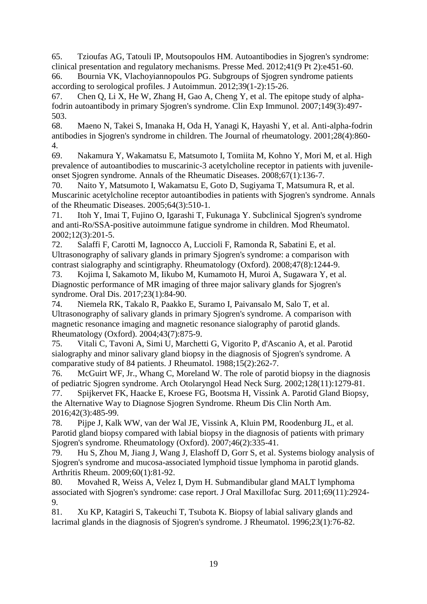65. Tzioufas AG, Tatouli IP, Moutsopoulos HM. Autoantibodies in Sjogren's syndrome: clinical presentation and regulatory mechanisms. Presse Med. 2012;41(9 Pt 2):e451-60.

66. Bournia VK, Vlachoyiannopoulos PG. Subgroups of Sjogren syndrome patients according to serological profiles. J Autoimmun. 2012;39(1-2):15-26.

67. Chen Q, Li X, He W, Zhang H, Gao A, Cheng Y, et al. The epitope study of alphafodrin autoantibody in primary Sjogren's syndrome. Clin Exp Immunol. 2007;149(3):497- 503.

68. Maeno N, Takei S, Imanaka H, Oda H, Yanagi K, Hayashi Y, et al. Anti-alpha-fodrin antibodies in Sjogren's syndrome in children. The Journal of rheumatology. 2001;28(4):860- 4.

69. Nakamura Y, Wakamatsu E, Matsumoto I, Tomiita M, Kohno Y, Mori M, et al. High prevalence of autoantibodies to muscarinic-3 acetylcholine receptor in patients with juvenileonset Sjogren syndrome. Annals of the Rheumatic Diseases. 2008;67(1):136-7.

70. Naito Y, Matsumoto I, Wakamatsu E, Goto D, Sugiyama T, Matsumura R, et al. Muscarinic acetylcholine receptor autoantibodies in patients with Sjogren's syndrome. Annals of the Rheumatic Diseases. 2005;64(3):510-1.

71. Itoh Y, Imai T, Fujino O, Igarashi T, Fukunaga Y. Subclinical Sjogren's syndrome and anti-Ro/SSA-positive autoimmune fatigue syndrome in children. Mod Rheumatol. 2002;12(3):201-5.

72. Salaffi F, Carotti M, Iagnocco A, Luccioli F, Ramonda R, Sabatini E, et al. Ultrasonography of salivary glands in primary Sjogren's syndrome: a comparison with contrast sialography and scintigraphy. Rheumatology (Oxford). 2008;47(8):1244-9.

73. Kojima I, Sakamoto M, Iikubo M, Kumamoto H, Muroi A, Sugawara Y, et al. Diagnostic performance of MR imaging of three major salivary glands for Sjogren's syndrome. Oral Dis. 2017;23(1):84-90.

74. Niemela RK, Takalo R, Paakko E, Suramo I, Paivansalo M, Salo T, et al. Ultrasonography of salivary glands in primary Sjogren's syndrome. A comparison with magnetic resonance imaging and magnetic resonance sialography of parotid glands. Rheumatology (Oxford). 2004;43(7):875-9.

75. Vitali C, Tavoni A, Simi U, Marchetti G, Vigorito P, d'Ascanio A, et al. Parotid sialography and minor salivary gland biopsy in the diagnosis of Sjogren's syndrome. A comparative study of 84 patients. J Rheumatol. 1988;15(2):262-7.

76. McGuirt WF, Jr., Whang C, Moreland W. The role of parotid biopsy in the diagnosis of pediatric Sjogren syndrome. Arch Otolaryngol Head Neck Surg. 2002;128(11):1279-81.

77. Spijkervet FK, Haacke E, Kroese FG, Bootsma H, Vissink A. Parotid Gland Biopsy, the Alternative Way to Diagnose Sjogren Syndrome. Rheum Dis Clin North Am. 2016;42(3):485-99.

78. Pijpe J, Kalk WW, van der Wal JE, Vissink A, Kluin PM, Roodenburg JL, et al. Parotid gland biopsy compared with labial biopsy in the diagnosis of patients with primary Sjogren's syndrome. Rheumatology (Oxford). 2007;46(2):335-41.

79. Hu S, Zhou M, Jiang J, Wang J, Elashoff D, Gorr S, et al. Systems biology analysis of Sjogren's syndrome and mucosa-associated lymphoid tissue lymphoma in parotid glands. Arthritis Rheum. 2009;60(1):81-92.

80. Movahed R, Weiss A, Velez I, Dym H. Submandibular gland MALT lymphoma associated with Sjogren's syndrome: case report. J Oral Maxillofac Surg. 2011;69(11):2924- 9.

81. Xu KP, Katagiri S, Takeuchi T, Tsubota K. Biopsy of labial salivary glands and lacrimal glands in the diagnosis of Sjogren's syndrome. J Rheumatol. 1996;23(1):76-82.